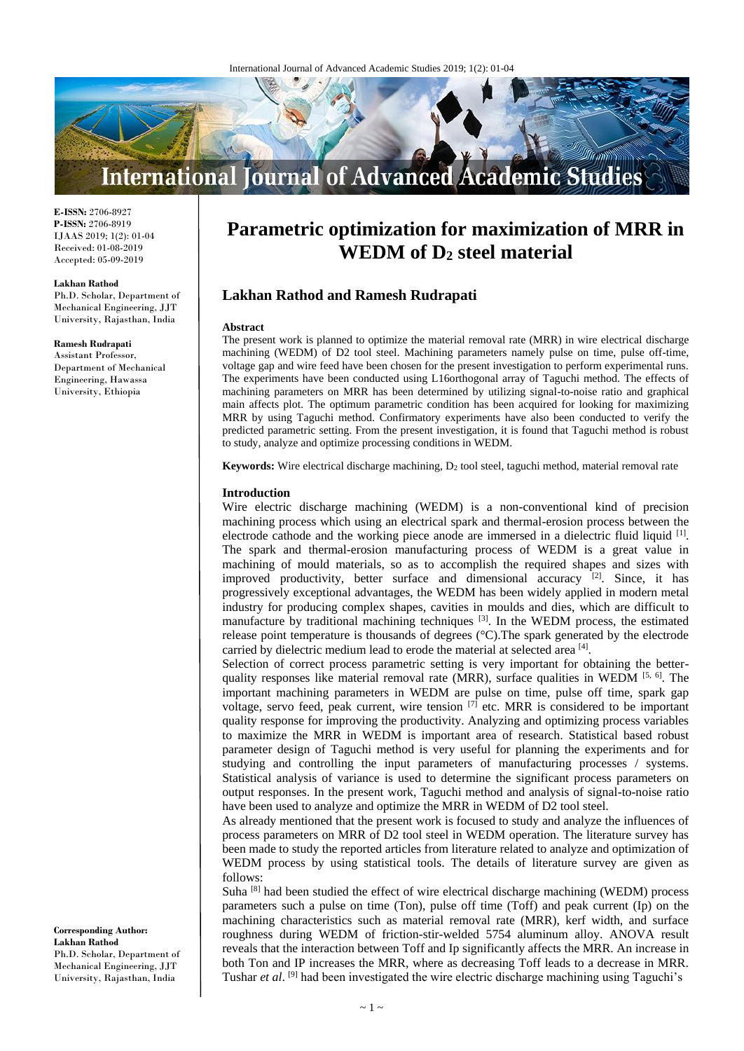

**E-ISSN:** 2706-8927 **P-ISSN:** 2706-8919 IJAAS 2019; 1(2): 01-04 Received: 01-08-2019 Accepted: 05-09-2019

#### **Lakhan Rathod**

Ph.D. Scholar, Department of Mechanical Engineering, JJT University, Rajasthan, India

#### **Ramesh Rudrapati**

Assistant Professor, Department of Mechanical Engineering, Hawassa University, Ethiopia

**Parametric optimization for maximization of MRR in WEDM of D<sup>2</sup> steel material**

# **Lakhan Rathod and Ramesh Rudrapati**

#### **Abstract**

The present work is planned to optimize the material removal rate (MRR) in wire electrical discharge machining (WEDM) of D2 tool steel. Machining parameters namely pulse on time, pulse off-time, voltage gap and wire feed have been chosen for the present investigation to perform experimental runs. The experiments have been conducted using L16orthogonal array of Taguchi method. The effects of machining parameters on MRR has been determined by utilizing signal-to-noise ratio and graphical main affects plot. The optimum parametric condition has been acquired for looking for maximizing MRR by using Taguchi method. Confirmatory experiments have also been conducted to verify the predicted parametric setting. From the present investigation, it is found that Taguchi method is robust to study, analyze and optimize processing conditions in WEDM.

**Keywords:** Wire electrical discharge machining,  $D_2$  tool steel, taguchi method, material removal rate

### **Introduction**

Wire electric discharge machining (WEDM) is a non-conventional kind of precision machining process which using an electrical spark and thermal-erosion process between the electrode cathode and the working piece anode are immersed in a dielectric fluid liquid <sup>[1]</sup>. The spark and thermal-erosion manufacturing process of WEDM is a great value in machining of mould materials, so as to accomplish the required shapes and sizes with improved productivity, better surface and dimensional accuracy  $[2]$ . Since, it has progressively exceptional advantages, the WEDM has been widely applied in modern metal industry for producing complex shapes, cavities in moulds and dies, which are difficult to manufacture by traditional machining techniques [3]. In the WEDM process, the estimated release point temperature is thousands of degrees (°C).The spark generated by the electrode carried by dielectric medium lead to erode the material at selected area [4].

Selection of correct process parametric setting is very important for obtaining the betterquality responses like material removal rate (MRR), surface qualities in WEDM [5, 6]. The important machining parameters in WEDM are pulse on time, pulse off time, spark gap voltage, servo feed, peak current, wire tension  $\left[7\right]$  etc. MRR is considered to be important quality response for improving the productivity. Analyzing and optimizing process variables to maximize the MRR in WEDM is important area of research. Statistical based robust parameter design of Taguchi method is very useful for planning the experiments and for studying and controlling the input parameters of manufacturing processes / systems. Statistical analysis of variance is used to determine the significant process parameters on output responses. In the present work, Taguchi method and analysis of signal-to-noise ratio have been used to analyze and optimize the MRR in WEDM of D2 tool steel.

As already mentioned that the present work is focused to study and analyze the influences of process parameters on MRR of D2 tool steel in WEDM operation. The literature survey has been made to study the reported articles from literature related to analyze and optimization of WEDM process by using statistical tools. The details of literature survey are given as follows:

Suha  $[8]$  had been studied the effect of wire electrical discharge machining (WEDM) process parameters such a pulse on time (Ton), pulse off time (Toff) and peak current (Ip) on the machining characteristics such as material removal rate (MRR), kerf width, and surface roughness during WEDM of friction-stir-welded 5754 aluminum alloy. ANOVA result reveals that the interaction between Toff and Ip significantly affects the MRR. An increase in both Ton and IP increases the MRR, where as decreasing Toff leads to a decrease in MRR. Tushar et al. <sup>[9]</sup> had been investigated the wire electric discharge machining using Taguchi's

**Corresponding Author: Lakhan Rathod**  Ph.D. Scholar, Department of Mechanical Engineering, JJT University, Rajasthan, India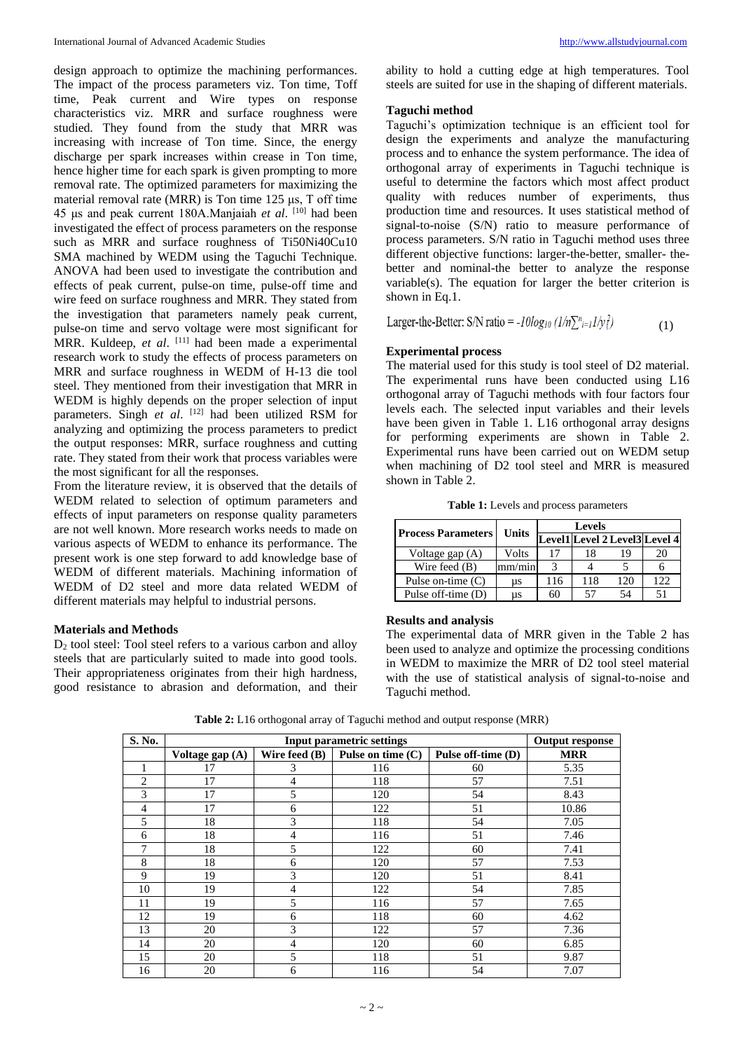design approach to optimize the machining performances. The impact of the process parameters viz. Ton time, Toff time, Peak current and Wire types on response characteristics viz. MRR and surface roughness were studied. They found from the study that MRR was increasing with increase of Ton time. Since, the energy discharge per spark increases within crease in Ton time, hence higher time for each spark is given prompting to more removal rate. The optimized parameters for maximizing the material removal rate (MRR) is Ton time 125 μs, T off time 45 μs and peak current 180A.Manjaiah *et al*. [10] had been investigated the effect of process parameters on the response such as MRR and surface roughness of Ti50Ni40Cu10 SMA machined by WEDM using the Taguchi Technique. ANOVA had been used to investigate the contribution and effects of peak current, pulse-on time, pulse-off time and wire feed on surface roughness and MRR. They stated from the investigation that parameters namely peak current, pulse-on time and servo voltage were most significant for MRR. Kuldeep, et al. <sup>[11]</sup> had been made a experimental research work to study the effects of process parameters on MRR and surface roughness in WEDM of H-13 die tool steel. They mentioned from their investigation that MRR in WEDM is highly depends on the proper selection of input parameters. Singh *et al.* <sup>[12]</sup> had been utilized RSM for analyzing and optimizing the process parameters to predict the output responses: MRR, surface roughness and cutting rate. They stated from their work that process variables were the most significant for all the responses.

From the literature review, it is observed that the details of WEDM related to selection of optimum parameters and effects of input parameters on response quality parameters are not well known. More research works needs to made on various aspects of WEDM to enhance its performance. The present work is one step forward to add knowledge base of WEDM of different materials. Machining information of WEDM of D2 steel and more data related WEDM of different materials may helpful to industrial persons.

## **Materials and Methods**

 $D<sub>2</sub>$  tool steel: Tool steel refers to a various carbon and alloy steels that are particularly suited to made into good tools. Their appropriateness originates from their high hardness, good resistance to abrasion and deformation, and their ability to hold a cutting edge at high temperatures. Tool steels are suited for use in the shaping of different materials.

### **Taguchi method**

Taguchi's optimization technique is an efficient tool for design the experiments and analyze the manufacturing process and to enhance the system performance. The idea of orthogonal array of experiments in Taguchi technique is useful to determine the factors which most affect product quality with reduces number of experiments, thus production time and resources. It uses statistical method of signal-to-noise (S/N) ratio to measure performance of process parameters. S/N ratio in Taguchi method uses three different objective functions: larger-the-better, smaller- thebetter and nominal-the better to analyze the response variable(s). The equation for larger the better criterion is shown in Eq.1.

Larger-the-Better: S/N ratio =  $-I0\log_{10} (1/n\sum_{i=1}^{n} 1/\gamma_i^2)$ (1)

# **Experimental process**

The material used for this study is tool steel of D2 material. The experimental runs have been conducted using L16 orthogonal array of Taguchi methods with four factors four levels each. The selected input variables and their levels have been given in Table 1. L16 orthogonal array designs for performing experiments are shown in Table 2. Experimental runs have been carried out on WEDM setup when machining of D2 tool steel and MRR is measured shown in Table 2.

**Table 1:** Levels and process parameters

| <b>Process Parameters</b> | <b>Units</b> | <b>Levels</b> |     |                               |     |
|---------------------------|--------------|---------------|-----|-------------------------------|-----|
|                           |              |               |     | Level1 Level 2 Level3 Level 4 |     |
| Voltage gap (A)           | Volts        | 17            |     | 19                            | 20  |
| Wire feed $(B)$           | mm/min       |               |     |                               |     |
| Pulse on-time $(C)$       | us           | 116           | 118 | 120                           | 122 |
| Pulse off-time (D)        | us           | 60            |     | 54                            |     |

### **Results and analysis**

The experimental data of MRR given in the Table 2 has been used to analyze and optimize the processing conditions in WEDM to maximize the MRR of D2 tool steel material with the use of statistical analysis of signal-to-noise and Taguchi method.

**Table 2:** L16 orthogonal array of Taguchi method and output response (MRR)

| S. No.         |                 | <b>Output response</b> |                     |                    |            |
|----------------|-----------------|------------------------|---------------------|--------------------|------------|
|                | Voltage gap (A) | Wire feed (B)          | Pulse on time $(C)$ | Pulse off-time (D) | <b>MRR</b> |
|                | 17              | 3                      | 116                 | 60                 | 5.35       |
| $\overline{c}$ | 17              | 4                      | 118                 | 57                 | 7.51       |
| 3              | 17              | 5                      | 120                 | 54                 | 8.43       |
| 4              | 17              | 6                      | 122                 | 51                 | 10.86      |
| 5              | 18              | 3                      | 118                 | 54                 | 7.05       |
| 6              | 18              | 4                      | 116                 | 51                 | 7.46       |
| 7              | 18              | 5                      | 122                 | 60                 | 7.41       |
| 8              | 18              | 6                      | 120                 | 57                 | 7.53       |
| 9              | 19              | 3                      | 120                 | 51                 | 8.41       |
| 10             | 19              | $\overline{4}$         | 122                 | 54                 | 7.85       |
| 11             | 19              | 5                      | 116                 | 57                 | 7.65       |
| 12             | 19              | 6                      | 118                 | 60                 | 4.62       |
| 13             | 20              | 3                      | 122                 | 57                 | 7.36       |
| 14             | 20              | 4                      | 120                 | 60                 | 6.85       |
| 15             | 20              | 5                      | 118                 | 51                 | 9.87       |
| 16             | 20              | 6                      | 116                 | 54                 | 7.07       |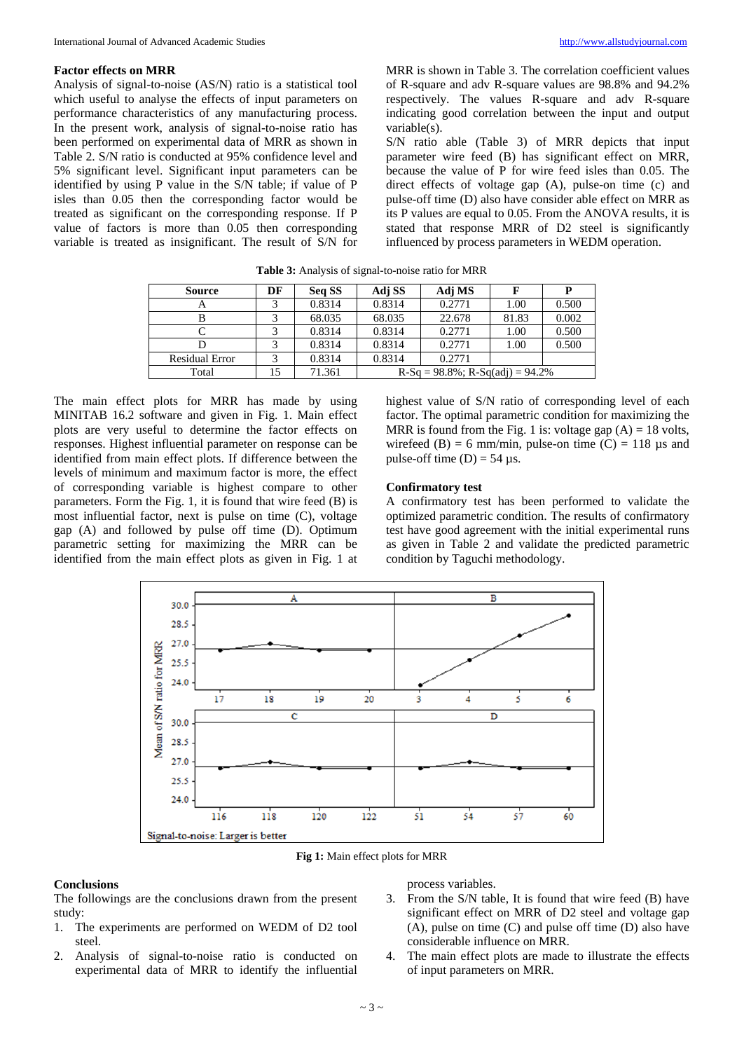## **Factor effects on MRR**

Analysis of signal-to-noise (AS/N) ratio is a statistical tool which useful to analyse the effects of input parameters on performance characteristics of any manufacturing process. In the present work, analysis of signal-to-noise ratio has been performed on experimental data of MRR as shown in Table 2. S/N ratio is conducted at 95% confidence level and 5% significant level. Significant input parameters can be identified by using P value in the S/N table; if value of P isles than 0.05 then the corresponding factor would be treated as significant on the corresponding response. If P value of factors is more than 0.05 then corresponding variable is treated as insignificant. The result of S/N for

MRR is shown in Table 3. The correlation coefficient values of R-square and adv R-square values are 98.8% and 94.2% respectively. The values R-square and adv R-square indicating good correlation between the input and output variable(s).

S/N ratio able (Table 3) of MRR depicts that input parameter wire feed (B) has significant effect on MRR, because the value of P for wire feed isles than 0.05. The direct effects of voltage gap (A), pulse-on time (c) and pulse-off time (D) also have consider able effect on MRR as its P values are equal to 0.05. From the ANOVA results, it is stated that response MRR of D2 steel is significantly influenced by process parameters in WEDM operation.

| <b>Source</b>  | DF | Seq SS | Adj SS                                 | Adj MS |       |       |
|----------------|----|--------|----------------------------------------|--------|-------|-------|
|                |    | 0.8314 | 0.8314                                 | 0.2771 | 1.00  | 0.500 |
|                |    | 68.035 | 68.035                                 | 22.678 | 81.83 | 0.002 |
|                |    | 0.8314 | 0.8314                                 | 0.2771 | 1.00  | 0.500 |
|                |    | 0.8314 | 0.8314                                 | 0.2771 | 1.00  | 0.500 |
| Residual Error |    | 0.8314 | 0.8314                                 | 0.2771 |       |       |
| Total          | 15 | 71.361 | $R-Sq = 98.8\%$ ; $R-Sq(adj) = 94.2\%$ |        |       |       |

**Table 3:** Analysis of signal-to-noise ratio for MRR

The main effect plots for MRR has made by using MINITAB 16.2 software and given in Fig. 1. Main effect plots are very useful to determine the factor effects on responses. Highest influential parameter on response can be identified from main effect plots. If difference between the levels of minimum and maximum factor is more, the effect of corresponding variable is highest compare to other parameters. Form the Fig. 1, it is found that wire feed (B) is most influential factor, next is pulse on time (C), voltage gap (A) and followed by pulse off time (D). Optimum parametric setting for maximizing the MRR can be identified from the main effect plots as given in Fig. 1 at highest value of S/N ratio of corresponding level of each factor. The optimal parametric condition for maximizing the MRR is found from the Fig. 1 is: voltage gap  $(A) = 18$  volts, wirefeed (B) = 6 mm/min, pulse-on time (C) = 118  $\mu$ s and pulse-off time  $(D) = 54$  µs.

## **Confirmatory test**

A confirmatory test has been performed to validate the optimized parametric condition. The results of confirmatory test have good agreement with the initial experimental runs as given in Table 2 and validate the predicted parametric condition by Taguchi methodology.



**Fig 1:** Main effect plots for MRR

# **Conclusions**

The followings are the conclusions drawn from the present study:

- 1. The experiments are performed on WEDM of D2 tool steel.
- 2. Analysis of signal-to-noise ratio is conducted on experimental data of MRR to identify the influential

process variables.

- 3. From the S/N table, It is found that wire feed (B) have significant effect on MRR of D2 steel and voltage gap (A), pulse on time (C) and pulse off time (D) also have considerable influence on MRR.
- 4. The main effect plots are made to illustrate the effects of input parameters on MRR.